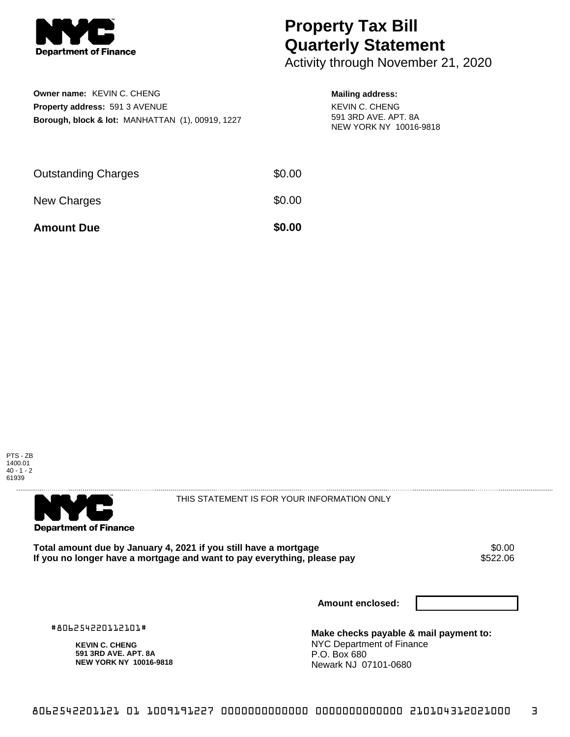

## **Property Tax Bill Quarterly Statement**

Activity through November 21, 2020

| <b>Owner name: KEVIN C. CHENG</b>                           |
|-------------------------------------------------------------|
| <b>Property address: 591 3 AVENUE</b>                       |
| <b>Borough, block &amp; lot: MANHATTAN (1), 00919, 1227</b> |

## **Mailing address:**

KEVIN C. CHENG 591 3RD AVE. APT. 8A NEW YORK NY 10016-9818

| <b>Amount Due</b>          | \$0.00 |
|----------------------------|--------|
| New Charges                | \$0.00 |
| <b>Outstanding Charges</b> | \$0.00 |





THIS STATEMENT IS FOR YOUR INFORMATION ONLY

Total amount due by January 4, 2021 if you still have a mortgage **\$0.00** \$0.00<br>If you no longer have a mortgage and want to pay everything, please pay If you no longer have a mortgage and want to pay everything, please pay

**Amount enclosed:**

#806254220112101#

**KEVIN C. CHENG 591 3RD AVE. APT. 8A NEW YORK NY 10016-9818** **Make checks payable & mail payment to:** NYC Department of Finance P.O. Box 680 Newark NJ 07101-0680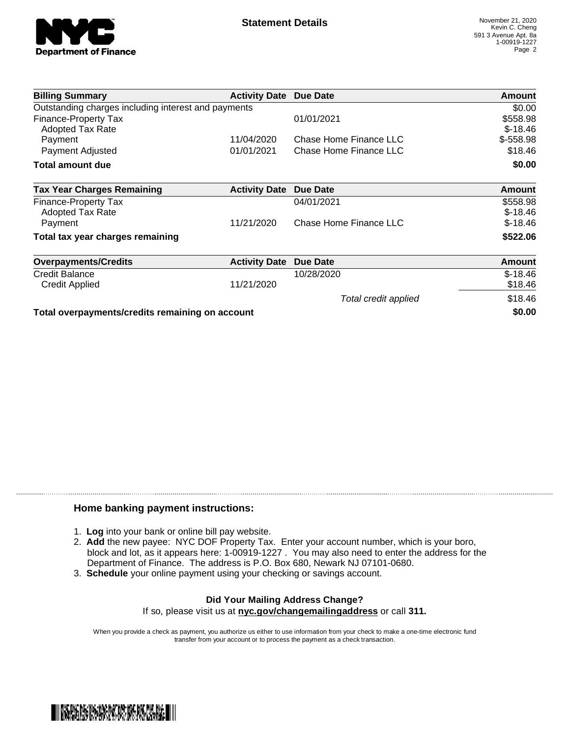

| <b>Billing Summary</b>                                 | <b>Activity Date Due Date</b> |                        | Amount                |
|--------------------------------------------------------|-------------------------------|------------------------|-----------------------|
| Outstanding charges including interest and payments    | \$0.00                        |                        |                       |
| <b>Finance-Property Tax</b><br><b>Adopted Tax Rate</b> |                               | 01/01/2021             | \$558.98<br>$$-18.46$ |
| Payment                                                | 11/04/2020                    | Chase Home Finance LLC | $$-558.98$            |
| Payment Adjusted                                       | 01/01/2021                    | Chase Home Finance LLC | \$18.46               |
| Total amount due                                       |                               |                        | \$0.00                |
| <b>Tax Year Charges Remaining</b>                      | <b>Activity Date</b>          | <b>Due Date</b>        | <b>Amount</b>         |
| <b>Finance-Property Tax</b><br><b>Adopted Tax Rate</b> |                               | 04/01/2021             | \$558.98<br>$$-18.46$ |
| Payment                                                | 11/21/2020                    | Chase Home Finance LLC | $$-18.46$             |
| Total tax year charges remaining                       |                               |                        | \$522.06              |
| <b>Overpayments/Credits</b>                            | <b>Activity Date</b>          | <b>Due Date</b>        | <b>Amount</b>         |
| <b>Credit Balance</b>                                  |                               | 10/28/2020             | $$-18.46$             |
| <b>Credit Applied</b>                                  | 11/21/2020                    |                        | \$18.46               |
|                                                        |                               | Total credit applied   | \$18.46               |
| Total overpayments/credits remaining on account        |                               |                        | \$0.00                |

## **Home banking payment instructions:**

- 1. **Log** into your bank or online bill pay website.
- 2. **Add** the new payee: NYC DOF Property Tax. Enter your account number, which is your boro, block and lot, as it appears here: 1-00919-1227 . You may also need to enter the address for the Department of Finance. The address is P.O. Box 680, Newark NJ 07101-0680.
- 3. **Schedule** your online payment using your checking or savings account.

## **Did Your Mailing Address Change?** If so, please visit us at **nyc.gov/changemailingaddress** or call **311.**

When you provide a check as payment, you authorize us either to use information from your check to make a one-time electronic fund transfer from your account or to process the payment as a check transaction.